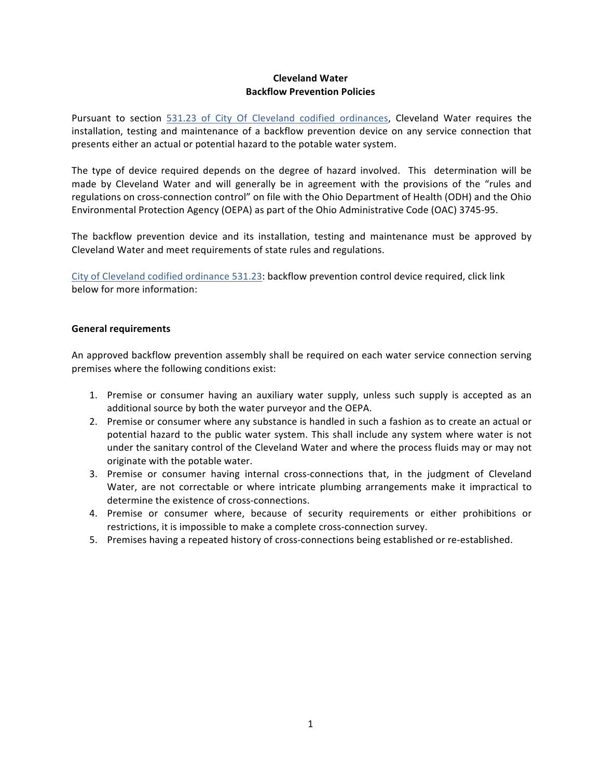## **Cleveland Water Backflow Prevention Policies**

Pursuant to section 531.23 of City Of Cleveland codified ordinances, Cleveland Water requires the installation, testing and maintenance of a backflow prevention device on any service connection that presents either an actual or potential hazard to the potable water system.

The type of device required depends on the degree of hazard involved. This determination will be made by Cleveland Water and will generally be in agreement with the provisions of the "rules and regulations on cross-connection control" on file with the Ohio Department of Health (ODH) and the Ohio Environmental Protection Agency (OEPA) as part of the Ohio Administrative Code (OAC) 3745-95.

The backflow prevention device and its installation, testing and maintenance must be approved by Cleveland Water and meet requirements of state rules and regulations.

City of Cleveland codified ordinance 531.23: backflow prevention control device required, click link below for more information:

### **General requirements**

An approved backflow prevention assembly shall be required on each water service connection serving premises where the following conditions exist:

- 1. Premise or consumer having an auxiliary water supply, unless such supply is accepted as an additional source by both the water purveyor and the OEPA.
- 2. Premise or consumer where any substance is handled in such a fashion as to create an actual or potential hazard to the public water system. This shall include any system where water is not under the sanitary control of the Cleveland Water and where the process fluids may or may not originate with the potable water.
- 3. Premise or consumer having internal cross-connections that, in the judgment of Cleveland Water, are not correctable or where intricate plumbing arrangements make it impractical to determine the existence of cross-connections.
- 4. Premise or consumer where, because of security requirements or either prohibitions or restrictions, it is impossible to make a complete cross-connection survey.
- 5. Premises having a repeated history of cross-connections being established or re-established.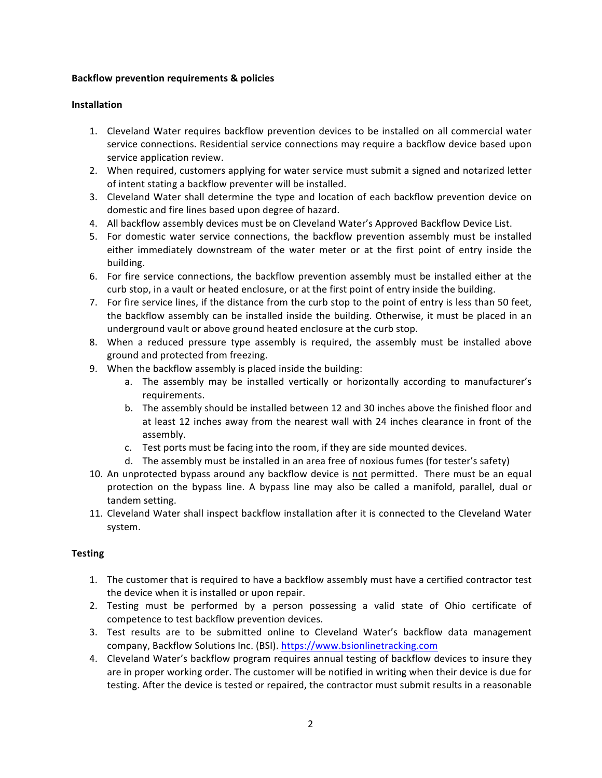## **Backflow prevention requirements & policies**

## **Installation**

- 1. Cleveland Water requires backflow prevention devices to be installed on all commercial water service connections. Residential service connections may require a backflow device based upon service application review.
- 2. When required, customers applying for water service must submit a signed and notarized letter of intent stating a backflow preventer will be installed.
- 3. Cleveland Water shall determine the type and location of each backflow prevention device on domestic and fire lines based upon degree of hazard.
- 4. All backflow assembly devices must be on Cleveland Water's Approved Backflow Device List.
- 5. For domestic water service connections, the backflow prevention assembly must be installed either immediately downstream of the water meter or at the first point of entry inside the building.
- 6. For fire service connections, the backflow prevention assembly must be installed either at the curb stop, in a vault or heated enclosure, or at the first point of entry inside the building.
- 7. For fire service lines, if the distance from the curb stop to the point of entry is less than 50 feet, the backflow assembly can be installed inside the building. Otherwise, it must be placed in an underground vault or above ground heated enclosure at the curb stop.
- 8. When a reduced pressure type assembly is required, the assembly must be installed above ground and protected from freezing.
- 9. When the backflow assembly is placed inside the building:
	- a. The assembly may be installed vertically or horizontally according to manufacturer's requirements.
	- b. The assembly should be installed between 12 and 30 inches above the finished floor and at least 12 inches away from the nearest wall with 24 inches clearance in front of the assembly.
	- c. Test ports must be facing into the room, if they are side mounted devices.
	- d. The assembly must be installed in an area free of noxious fumes (for tester's safety)
- 10. An unprotected bypass around any backflow device is not permitted. There must be an equal protection on the bypass line. A bypass line may also be called a manifold, parallel, dual or tandem setting.
- 11. Cleveland Water shall inspect backflow installation after it is connected to the Cleveland Water system.

# **Testing**

- 1. The customer that is required to have a backflow assembly must have a certified contractor test the device when it is installed or upon repair.
- 2. Testing must be performed by a person possessing a valid state of Ohio certificate of competence to test backflow prevention devices.
- 3. Test results are to be submitted online to Cleveland Water's backflow data management company, Backflow Solutions Inc. (BSI). https://www.bsionlinetracking.com
- 4. Cleveland Water's backflow program requires annual testing of backflow devices to insure they are in proper working order. The customer will be notified in writing when their device is due for testing. After the device is tested or repaired, the contractor must submit results in a reasonable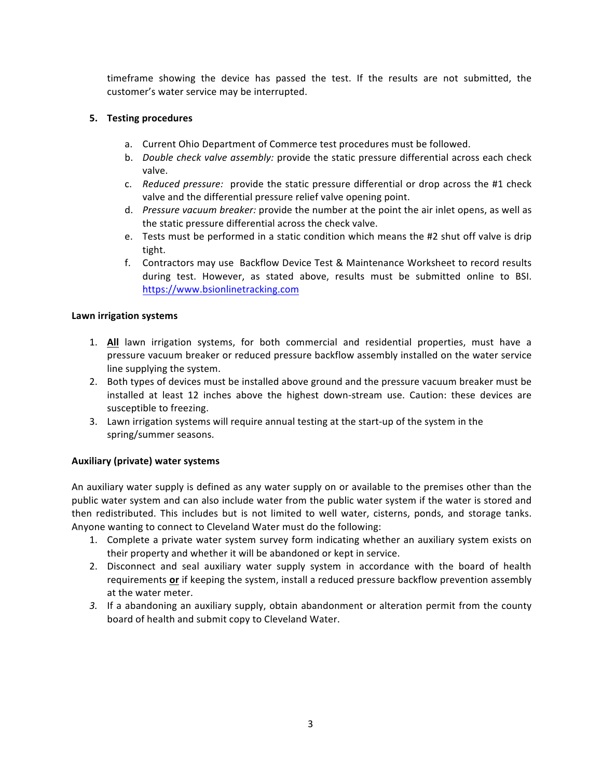timeframe showing the device has passed the test. If the results are not submitted, the customer's water service may be interrupted.

## **5.** Testing procedures

- a. Current Ohio Department of Commerce test procedures must be followed.
- b. *Double check valve assembly:* provide the static pressure differential across each check valve.
- c. *Reduced pressure:* provide the static pressure differential or drop across the #1 check valve and the differential pressure relief valve opening point.
- d. *Pressure vacuum breaker:* provide the number at the point the air inlet opens, as well as the static pressure differential across the check valve.
- e. Tests must be performed in a static condition which means the #2 shut off valve is drip tight.
- f. Contractors may use Backflow Device Test & Maintenance Worksheet to record results during test. However, as stated above, results must be submitted online to BSI. https://www.bsionlinetracking.com

### **Lawn irrigation systems**

- 1. **All** lawn irrigation systems, for both commercial and residential properties, must have a pressure vacuum breaker or reduced pressure backflow assembly installed on the water service line supplying the system.
- 2. Both types of devices must be installed above ground and the pressure vacuum breaker must be installed at least 12 inches above the highest down-stream use. Caution: these devices are susceptible to freezing.
- 3. Lawn irrigation systems will require annual testing at the start-up of the system in the spring/summer seasons.

#### **Auxiliary (private) water systems**

An auxiliary water supply is defined as any water supply on or available to the premises other than the public water system and can also include water from the public water system if the water is stored and then redistributed. This includes but is not limited to well water, cisterns, ponds, and storage tanks. Anyone wanting to connect to Cleveland Water must do the following:

- 1. Complete a private water system survey form indicating whether an auxiliary system exists on their property and whether it will be abandoned or kept in service.
- 2. Disconnect and seal auxiliary water supply system in accordance with the board of health requirements or if keeping the system, install a reduced pressure backflow prevention assembly at the water meter.
- 3. If a abandoning an auxiliary supply, obtain abandonment or alteration permit from the county board of health and submit copy to Cleveland Water.